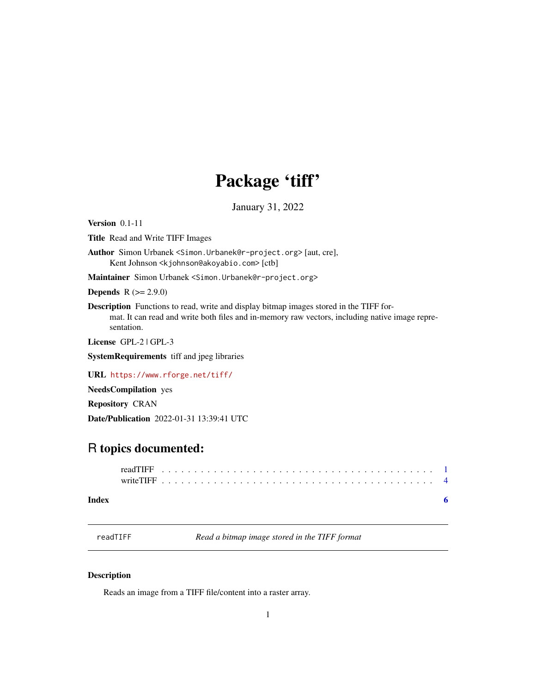## Package 'tiff'

January 31, 2022

<span id="page-0-1"></span><span id="page-0-0"></span>Version 0.1-11

Title Read and Write TIFF Images

Author Simon Urbanek <Simon.Urbanek@r-project.org> [aut, cre], Kent Johnson <kjohnson@akoyabio.com> [ctb]

Maintainer Simon Urbanek <Simon.Urbanek@r-project.org>

**Depends**  $R (= 2.9.0)$ 

Description Functions to read, write and display bitmap images stored in the TIFF format. It can read and write both files and in-memory raw vectors, including native image representation.

License GPL-2 | GPL-3

SystemRequirements tiff and jpeg libraries

URL <https://www.rforge.net/tiff/>

NeedsCompilation yes

Repository CRAN

Date/Publication 2022-01-31 13:39:41 UTC

### R topics documented:

<span id="page-0-2"></span>readTIFF *Read a bitmap image stored in the TIFF format*

#### Description

Reads an image from a TIFF file/content into a raster array.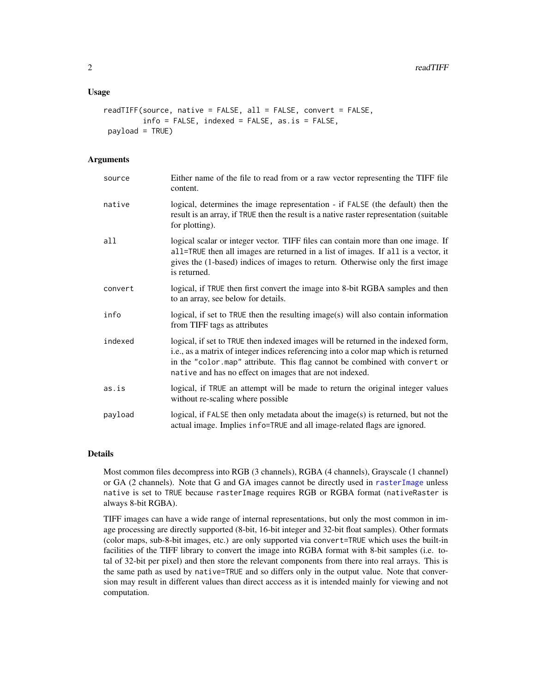#### <span id="page-1-0"></span>Usage

```
readTIFF(source, native = FALSE, all = FALSE, convert = FALSE,
         info = FALSE, indexed = FALSE, as.is = FALSE,
payload = TRUE)
```
#### Arguments

| source  | Either name of the file to read from or a raw vector representing the TIFF file<br>content.                                                                                                                                                                                                                        |
|---------|--------------------------------------------------------------------------------------------------------------------------------------------------------------------------------------------------------------------------------------------------------------------------------------------------------------------|
| native  | logical, determines the image representation - if FALSE (the default) then the<br>result is an array, if TRUE then the result is a native raster representation (suitable<br>for plotting).                                                                                                                        |
| all     | logical scalar or integer vector. TIFF files can contain more than one image. If<br>all=TRUE then all images are returned in a list of images. If all is a vector, it<br>gives the (1-based) indices of images to return. Otherwise only the first image<br>is returned.                                           |
| convert | logical, if TRUE then first convert the image into 8-bit RGBA samples and then<br>to an array, see below for details.                                                                                                                                                                                              |
| info    | logical, if set to TRUE then the resulting image(s) will also contain information<br>from TIFF tags as attributes                                                                                                                                                                                                  |
| indexed | logical, if set to TRUE then indexed images will be returned in the indexed form,<br>i.e., as a matrix of integer indices referencing into a color map which is returned<br>in the "color.map" attribute. This flag cannot be combined with convert or<br>native and has no effect on images that are not indexed. |
| as.is   | logical, if TRUE an attempt will be made to return the original integer values<br>without re-scaling where possible                                                                                                                                                                                                |
| payload | logical, if $FALSE$ then only metadata about the image $(s)$ is returned, but not the<br>actual image. Implies info=TRUE and all image-related flags are ignored.                                                                                                                                                  |

#### Details

Most common files decompress into RGB (3 channels), RGBA (4 channels), Grayscale (1 channel) or GA (2 channels). Note that G and GA images cannot be directly used in [rasterImage](#page-0-1) unless native is set to TRUE because rasterImage requires RGB or RGBA format (nativeRaster is always 8-bit RGBA).

TIFF images can have a wide range of internal representations, but only the most common in image processing are directly supported (8-bit, 16-bit integer and 32-bit float samples). Other formats (color maps, sub-8-bit images, etc.) are only supported via convert=TRUE which uses the built-in facilities of the TIFF library to convert the image into RGBA format with 8-bit samples (i.e. total of 32-bit per pixel) and then store the relevant components from there into real arrays. This is the same path as used by native=TRUE and so differs only in the output value. Note that conversion may result in different values than direct acccess as it is intended mainly for viewing and not computation.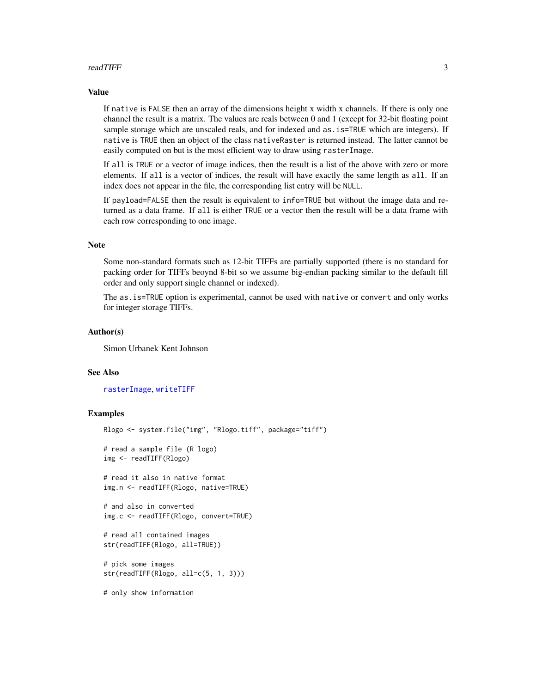#### <span id="page-2-0"></span>readTIFF 3

#### Value

If native is FALSE then an array of the dimensions height x width x channels. If there is only one channel the result is a matrix. The values are reals between 0 and 1 (except for 32-bit floating point sample storage which are unscaled reals, and for indexed and as . is=TRUE which are integers). If native is TRUE then an object of the class nativeRaster is returned instead. The latter cannot be easily computed on but is the most efficient way to draw using rasterImage.

If all is TRUE or a vector of image indices, then the result is a list of the above with zero or more elements. If all is a vector of indices, the result will have exactly the same length as all. If an index does not appear in the file, the corresponding list entry will be NULL.

If payload=FALSE then the result is equivalent to info=TRUE but without the image data and returned as a data frame. If all is either TRUE or a vector then the result will be a data frame with each row corresponding to one image.

#### Note

Some non-standard formats such as 12-bit TIFFs are partially supported (there is no standard for packing order for TIFFs beoynd 8-bit so we assume big-endian packing similar to the default fill order and only support single channel or indexed).

The as.is=TRUE option is experimental, cannot be used with native or convert and only works for integer storage TIFFs.

#### Author(s)

Simon Urbanek Kent Johnson

#### See Also

[rasterImage](#page-0-1), [writeTIFF](#page-3-1)

#### Examples

```
Rlogo <- system.file("img", "Rlogo.tiff", package="tiff")
# read a sample file (R logo)
img <- readTIFF(Rlogo)
# read it also in native format
img.n <- readTIFF(Rlogo, native=TRUE)
# and also in converted
img.c <- readTIFF(Rlogo, convert=TRUE)
# read all contained images
str(readTIFF(Rlogo, all=TRUE))
# pick some images
str(readTIFF(Rlogo, all=c(5, 1, 3)))
# only show information
```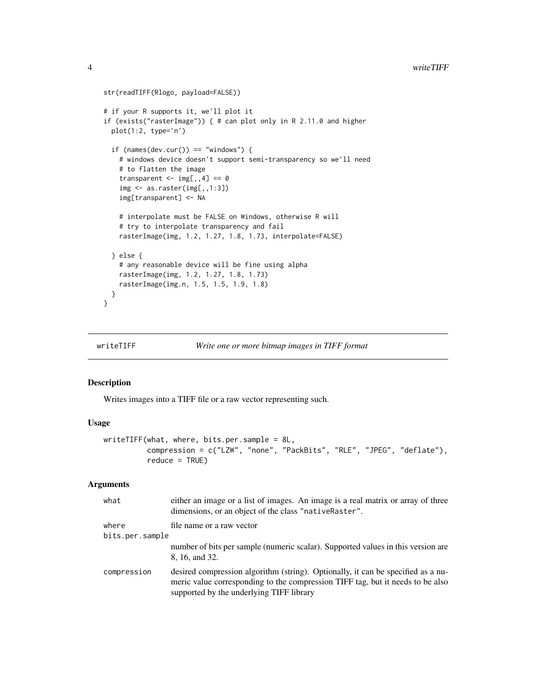```
str(readTIFF(Rlogo, payload=FALSE))
# if your R supports it, we'll plot it
if (exists("rasterImage")) { # can plot only in R 2.11.0 and higher
  plot(1:2, type='n')
  if (names(dev.cur()) == "windows") {
    # windows device doesn't support semi-transparency so we'll need
    # to flatten the image
   transparent \leq - img[,,4] == 0
    img <- as.raster(img[,,1:3])
    img[transparent] <- NA
    # interpolate must be FALSE on Windows, otherwise R will
    # try to interpolate transparency and fail
   rasterImage(img, 1.2, 1.27, 1.8, 1.73, interpolate=FALSE)
  } else {
    # any reasonable device will be fine using alpha
   rasterImage(img, 1.2, 1.27, 1.8, 1.73)
   rasterImage(img.n, 1.5, 1.5, 1.9, 1.8)
  }
}
```
<span id="page-3-1"></span>

```
writeTIFF Write one or more bitmap images in TIFF format
```
#### Description

Writes images into a TIFF file or a raw vector representing such.

#### Usage

```
writeTIFF(what, where, bits.per.sample = 8L,
          compression = c("LZW", "none", "PackBits", "RLE", "JPEG", "deflate"),
          reduce = TRUE)
```
#### Arguments

| what            | either an image or a list of images. An image is a real matrix or array of three<br>dimensions, or an object of the class "native Raster".                                                                     |
|-----------------|----------------------------------------------------------------------------------------------------------------------------------------------------------------------------------------------------------------|
| where           | file name or a raw vector                                                                                                                                                                                      |
| bits.per.sample |                                                                                                                                                                                                                |
|                 | number of bits per sample (numeric scalar). Supported values in this version are<br>8, 16, and 32.                                                                                                             |
| compression     | desired compression algorithm (string). Optionally, it can be specified as a nu-<br>meric value corresponding to the compression TIFF tag, but it needs to be also<br>supported by the underlying TIFF library |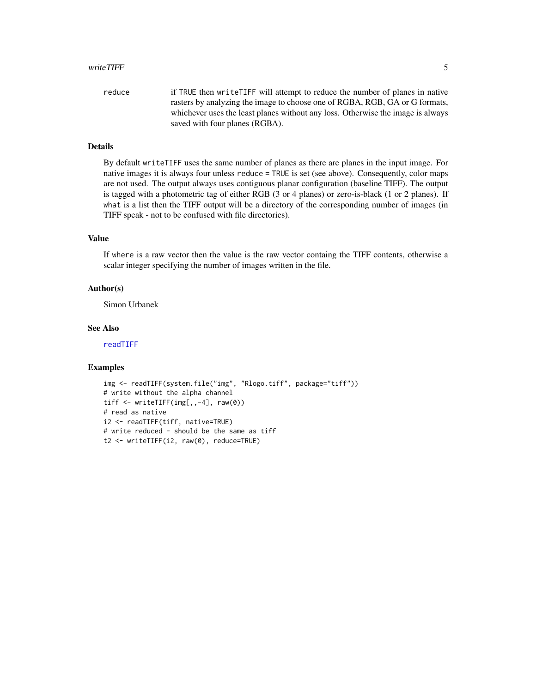#### <span id="page-4-0"></span>writeTIFF 5

| reduce | if TRUE then write TIFF will attempt to reduce the number of planes in native   |
|--------|---------------------------------------------------------------------------------|
|        | rasters by analyzing the image to choose one of RGBA, RGB, GA or G formats,     |
|        | whichever uses the least planes without any loss. Otherwise the image is always |
|        | saved with four planes (RGBA).                                                  |

#### Details

By default writeTIFF uses the same number of planes as there are planes in the input image. For native images it is always four unless reduce = TRUE is set (see above). Consequently, color maps are not used. The output always uses contiguous planar configuration (baseline TIFF). The output is tagged with a photometric tag of either RGB (3 or 4 planes) or zero-is-black (1 or 2 planes). If what is a list then the TIFF output will be a directory of the corresponding number of images (in TIFF speak - not to be confused with file directories).

#### Value

If where is a raw vector then the value is the raw vector containg the TIFF contents, otherwise a scalar integer specifying the number of images written in the file.

#### Author(s)

Simon Urbanek

#### See Also

[readTIFF](#page-0-2)

#### Examples

```
img <- readTIFF(system.file("img", "Rlogo.tiff", package="tiff"))
# write without the alpha channel
tiff <- writeTIFF(img[,,-4], raw(0))
# read as native
i2 <- readTIFF(tiff, native=TRUE)
# write reduced - should be the same as tiff
t2 <- writeTIFF(i2, raw(0), reduce=TRUE)
```